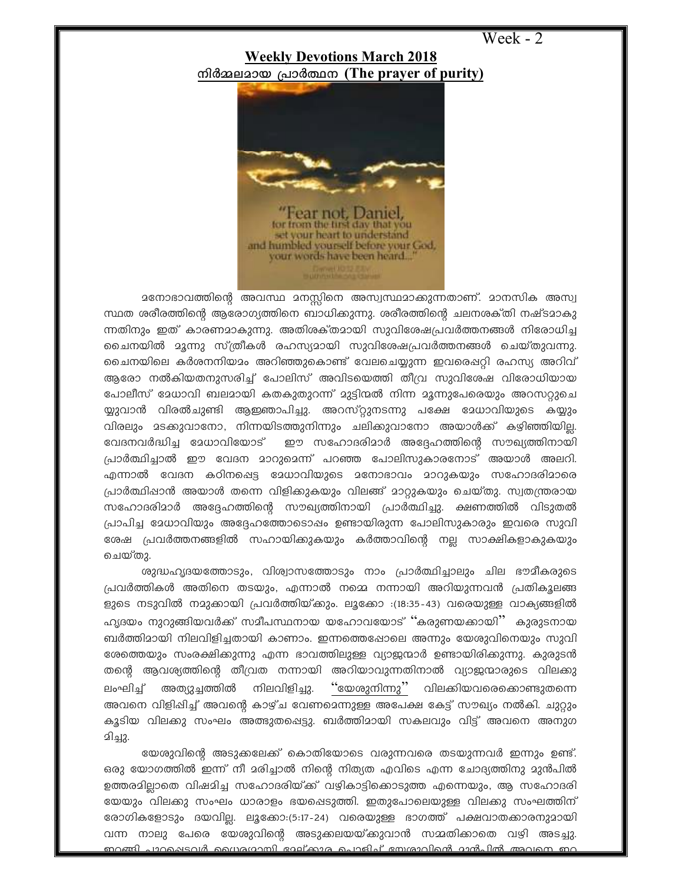Week - 2

## **Weekly Devotions March 2018** നിർമ്മലമായ പ്രാർത്ഥന (The prayer of purity)



മനോഭാവത്തിന്റെ അവസ്ഥ മനസ്സിനെ അസ്വസ്ഥമാക്കുന്നതാണ്. മാനസിക അസ്വ സ്ഥത ശരീരത്തിന്റെ ആരോഗ്യത്തിനെ ബാധിക്കുന്നു. ശരീരത്തിന്റെ ചലനശക്തി നഷ്ടമാകു ന്നതിനും ഇത് കാരണമാകുന്നു. അതിശക്തമായി സുവിശേഷപ്രവർത്തനങ്ങൾ നിരോധിച്ച ചൈനയിൽ മൂന്നു സ്ത്രീകൾ രഹസ്യമായി സുവിശേഷപ്രവർത്തനങ്ങൾ ചെയ്തുവന്നു. ചൈനയിലെ കർശനനിയമം അറിഞ്ഞുകൊണ്ട് വേലചെയ്യുന്ന ഇവരെഷറ്റി രഹസ്യ അറിവ് ആരോ നൽകിയതനുസരിച്ച് പോലിസ് അവിടയെത്തി തീവ്ര സുവിശേഷ വിരോധിയായ പോലീസ് ദേധാവി ബലദായി കതകുതുറന്ന് ദുട്ടിന്മൽ നിന്ന ദൂന്നുപേരെയും അറസറ്റുചെ യ്യുവാൻ വിരൽചുണ്ടി ആഇഞാപിച്ചു. അറസ്റ്റുനടന്നു പക്ഷേ മേധാവിയുടെ കയ്യും വിരലും മടക്കുവാനോ, നിന്നയിടത്തുനിന്നും ചലിക്കുവാനോ അയാൾക്ക് കഴിഞ്ഞിയില്ല. വേദനവർദ്ധിച്ച മേധാവിയോട് ഈ സഹോദരിമാർ അദ്ദേഹത്തിന്റെ സൗഖ്യത്തിനായി പ്രാർത്ഥിച്ചാൽ ഈ വേദന മാറുമെന്ന് പറഞ്ഞ പോലിസുകാരനോട് അയാൾ അലറി. എന്നാൽ വേദന കഠിനപ്പെട്ട മേധാവിയുടെ മനോഭാവം മാറുകയും സഹോദരിമാരെ പ്രാർത്ഥിപ്പാൻ അയാൾ തന്നെ വിളിക്കുകയും വിലങ്ങ് മാറ്റുകയും ചെയ്തു. സ്വതന്ത്രരായ സഹോദരിമാർ അദ്ദേഹത്തിന്റെ സൗഖ്യത്തിനായി പ്രാർത്ഥിച്ചു. ക്ഷണത്തിൽ വിടുതൽ പ്രാപിച്ച മേധാവിയും അദ്ദേഹത്തോടൊഷം ഉണ്ടായിരുന്ന പോലിസുകാരും ഇവരെ സുവി രേഷ പ്രവർത്തനങ്ങളിൽ സഹായിക്കുകയും കർത്താവിന്റെ നല്ല സാക്ഷികളാകുകയും ചെയ്തു.

ശുദ്ധഹൃദയത്തോടും, വിശ്വാസത്തോടും നാം പ്രാർത്ഥിച്ചാലും ചില ഭൗമീകരുടെ പ്രവർത്തികൾ അതിനെ തടയും, എന്നാൽ നമ്മെ നന്നായി അറിയുന്നവൻ പ്രതികൂലങ്ങ ളുടെ നടുവിൽ നമുക്കായി പ്രവർത്തിയ്ക്കും. ലൂക്കോ :(18:35-43) വരെയുള്ള വാക്യങ്ങളിൽ ഹൃദയം നുറുങ്ങിയവർക്ക് സമീപസ്ഥനായ യഹോവയോട് ''കരുണയക്കായി'' കുരുടനായ ബർത്തിമായി നിലവിളിച്ചതായി കാണാം. ഇന്നത്തെഷോലെ അന്നും യേശുവിനെയും സുവി ശേത്തെയും സംരക്ഷിക്കുന്നു എന്ന ഭാവത്തിലുള്ള വ്യാജന്മാർ ഉണ്ടായിരിക്കുന്നു. കുരുടൻ തന്റെ ആവശ്യത്തിന്റെ തീവ്രത നന്നായി അറിയാവുന്നതിനാൽ വ്യാജന്മാരുടെ വിലക്കു "യേശുനിന്നു" വിലക്കിയവരെക്കൊണ്ടുതന്നെ ലംഘിച്ച് അത്യുച്ചത്തിൽ നിലവിളിച്ചു. അവനെ വിളിപ്പിച്ച് അവന്റെ കാഴ്ച വേണമെന്നുള്ള അപേക്ഷ കേട്ട് സൗഖ്യം നൽകി. ചുറ്റും കൂടിയ വിലക്കു സംഘം അത്ഭുതപ്പെട്ടു. ബർത്തിമായി സകലവും വിട്ട് അവനെ അനുഗ விவு2.

യേശുവിന്റെ അടുക്കലേക്ക് കൊതിയോടെ വരുന്നവരെ തടയുന്നവർ ഇന്നും ഉണ്ട്. ഒരു യോഗത്തിൽ ഇന്ന് നീ മരിച്ചാൽ നിന്റെ നിത്യത എവിടെ എന്ന ചോദ്യത്തിനു മുൻപിൽ ഉത്തരമിലാതെ വിഷമിച്ച സഹോദരിയ്ക്ക് വഴികാട്ടിക്കൊടുത്ത എന്നെയും, ആ സഹോദരി യേയും വിലക്കു സംഘം ധാരാളം ഭയപ്പെടുത്തി. ഇതുപോലെയുള്ള വിലക്കു സംഘത്തിന് രോഗികളോടും ദയവില്ല. ലൂക്കോ:(5:17-24) വരെയുള്ള ഭാഗത്ത് പക്ഷവാതക്കാരനുമായി വന്ന നാലു പേരെ യേശുവിന്റെ അടുക്കലയയ്ക്കുവാൻ സമ്മതിക്കാതെ വഴി അടച്ചു. <u> ബറങ്ങി പാറകൊടവർ ഡൈദഗാമ്പി വേല്കാര ചെറമിച്ചത്രമാവിന്റെ മാൻപിൽ അവനെ ബറ</u>